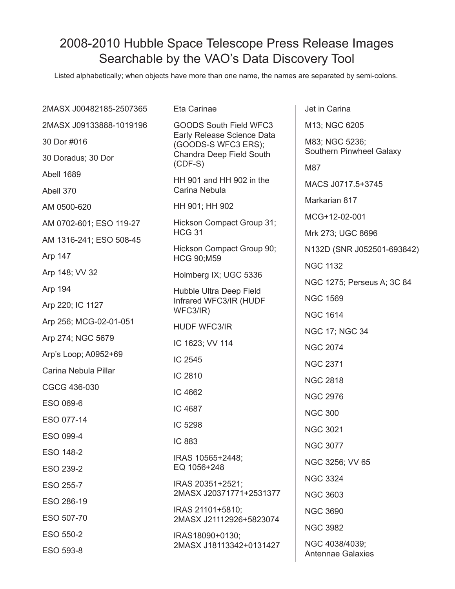## 2008-2010 Hubble Space Telescope Press Release Images Searchable by the VAO's Data Discovery Tool

Listed alphabetically; when objects have more than one name, the names are separated by semi-colons.

| 2MASX J00482185-2507365 | Eta Carinae                                                                                                          | Jet in Carina                              |
|-------------------------|----------------------------------------------------------------------------------------------------------------------|--------------------------------------------|
| 2MASX J09133888-1019196 | GOODS South Field WFC3<br>Early Release Science Data<br>(GOODS-S WFC3 ERS);<br>Chandra Deep Field South<br>$(CDF-S)$ | M13; NGC 6205                              |
| 30 Dor #016             |                                                                                                                      | M83; NGC 5236;<br>Southern Pinwheel Galaxy |
| 30 Doradus; 30 Dor      |                                                                                                                      |                                            |
| Abell 1689              | HH 901 and HH 902 in the<br>Carina Nebula                                                                            | M87                                        |
| Abell 370               |                                                                                                                      | MACS J0717.5+3745                          |
| AM 0500-620             | HH 901; HH 902                                                                                                       | Markarian 817                              |
| AM 0702-601; ESO 119-27 | Hickson Compact Group 31;<br><b>HCG 31</b><br>Hickson Compact Group 90;<br><b>HCG 90;M59</b>                         | MCG+12-02-001                              |
| AM 1316-241; ESO 508-45 |                                                                                                                      | Mrk 273; UGC 8696                          |
| Arp 147                 |                                                                                                                      | N132D (SNR J052501-693842)                 |
| Arp 148; VV 32          | Holmberg IX; UGC 5336                                                                                                | <b>NGC 1132</b>                            |
| Arp 194                 | Hubble Ultra Deep Field<br>Infrared WFC3/IR (HUDF<br>WFC3/IR)                                                        | NGC 1275; Perseus A; 3C 84                 |
| Arp 220; IC 1127        |                                                                                                                      | <b>NGC 1569</b>                            |
| Arp 256; MCG-02-01-051  |                                                                                                                      | <b>NGC 1614</b>                            |
| Arp 274; NGC 5679       | HUDF WFC3/IR                                                                                                         | <b>NGC 17; NGC 34</b>                      |
|                         | IC 1623; VV 114                                                                                                      | <b>NGC 2074</b>                            |
| Arp's Loop; A0952+69    | IC 2545                                                                                                              | <b>NGC 2371</b>                            |
| Carina Nebula Pillar    | IC 2810                                                                                                              | <b>NGC 2818</b>                            |
| CGCG 436-030            | IC 4662                                                                                                              | <b>NGC 2976</b>                            |
| ESO 069-6               | IC 4687                                                                                                              | <b>NGC 300</b>                             |
| ESO 077-14              | IC 5298                                                                                                              | <b>NGC 3021</b>                            |
| ESO 099-4               | IC 883                                                                                                               |                                            |
| ESO 148-2               | IRAS 10565+2448;<br>EQ 1056+248                                                                                      | <b>NGC 3077</b>                            |
| ESO 239-2               |                                                                                                                      | NGC 3256; VV 65                            |
| ESO 255-7               | IRAS 20351+2521;<br>2MASX J20371771+2531377                                                                          | <b>NGC 3324</b>                            |
| ESO 286-19              |                                                                                                                      | <b>NGC 3603</b>                            |
| ESO 507-70              | IRAS 21101+5810;<br>2MASX J21112926+5823074                                                                          | <b>NGC 3690</b>                            |
| ESO 550-2               | IRAS18090+0130;<br>2MASX J18113342+0131427                                                                           | <b>NGC 3982</b>                            |
| ESO 593-8               |                                                                                                                      | NGC 4038/4039;<br><b>Antennae Galaxies</b> |